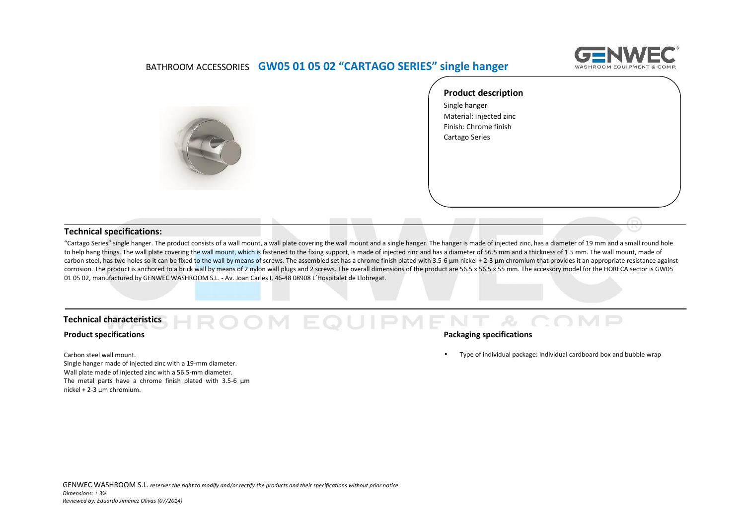

## BATHROOM ACCESSORIES **GW05 01 05 02 "CARTAGO SERIES" single hanger**



**Product description** Single hanger Material: Injected zinc Finish: Chrome finish Cartago Series

### **Technical specifications:**

"Cartago Series" single hanger. The product consists of a wall mount, a wall plate covering the wall mount and a single hanger. The hanger is made of injected zinc, has a diameter of 19 mm and a small round hole to help hang things. The wall plate covering the wall mount, which is fastened to the fixing support, is made of injected zinc and has a diameter of 56.5 mm and a thickness of 1.5 mm. The wall mount, made of carbon steel, has two holes so it can be fixed to the wall by means of screws. The assembled set has a chrome finish plated with 3.5-6 µm nickel + 2-3 µm chromium that provides it an appropriate resistance against corrosion. The product is anchored to a brick wall by means of 2 nylon wall plugs and 2 screws. The overall dimensions of the product are 56.5 x 56.5 x 55 mm. The accessory model for the HORECA sector is GW05 01 05 02, manufactured by GENWEC WASHROOM S.L. ‐ Av. Joan Carles I, 46-48 08908 L´Hospitalet de Llobregat.

 $IPM$ 

P.

#### **Technical characteristics**

#### **Product specifications**

Carbon steel wall mount.

Single hanger made of injected zinc with a 19-mm diameter. Wall plate made of injected zinc with a 56.5-mm diameter. The metal parts have a chrome finish plated with 3.5‐6 μm nickel + 2‐3 μm chromium.

#### **Packaging specifications**

Type of individual package: Individual cardboard box and bubble wrap